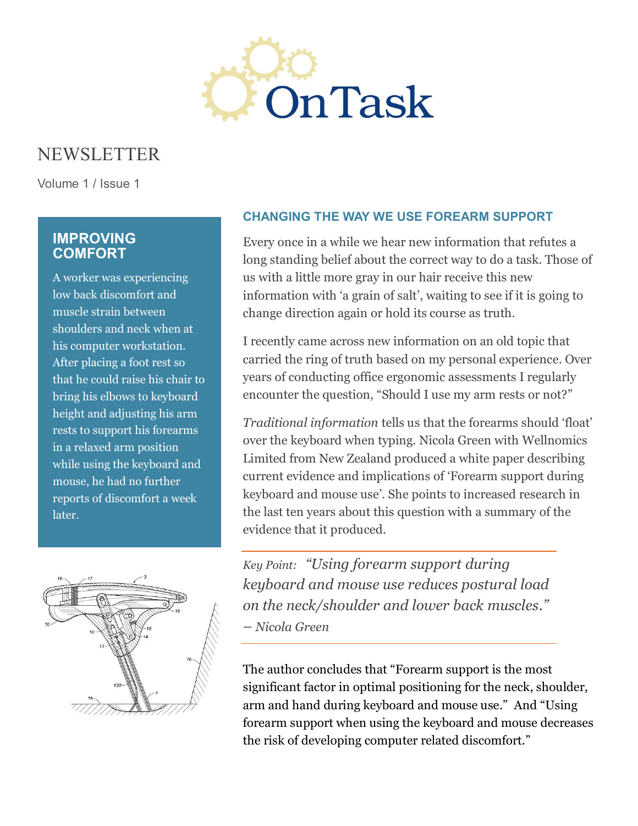

# NEWSLETTER

Volume 1 / Issue 1

# **IMPROVING COMFORT**

A worker was experiencing low back discomfort and muscle strain between shoulders and neck when at his computer workstation. After placing a foot rest so that he could raise his chair to bring his elbows to keyboard height and adjusting his arm rests to support his forearms in a relaxed arm position while using the keyboard and mouse, he had no further reports of discomfort a week later.



# **CHANGING THE WAY WE USE FOREARM SUPPORT**

Every once in a while we hear new information that refutes a long standing belief about the correct way to do a task. Those of us with a little more gray in our hair receive this new information with 'a grain of salt', waiting to see if it is going to change direction again or hold its course as truth.

I recently came across new information on an old topic that carried the ring of truth based on my personal experience. Over years of conducting office ergonomic assessments I regularly encounter the question, "Should I use my arm rests or not?"

*Traditional information* tells us that the forearms should 'float' over the keyboard when typing. Nicola Green with Wellnomics Limited from New Zealand produced a white paper describing current evidence and implications of 'Forearm support during keyboard and mouse use'. She points to increased research in the last ten years about this question with a summary of the evidence that it produced.

*Key Point: "Using forearm support during keyboard and mouse use reduces postural load on the neck/shoulder and lower back muscles." – Nicola Green*

The author concludes that "Forearm support is the most significant factor in optimal positioning for the neck, shoulder, arm and hand during keyboard and mouse use." And "Using forearm support when using the keyboard and mouse decreases the risk of developing computer related discomfort."